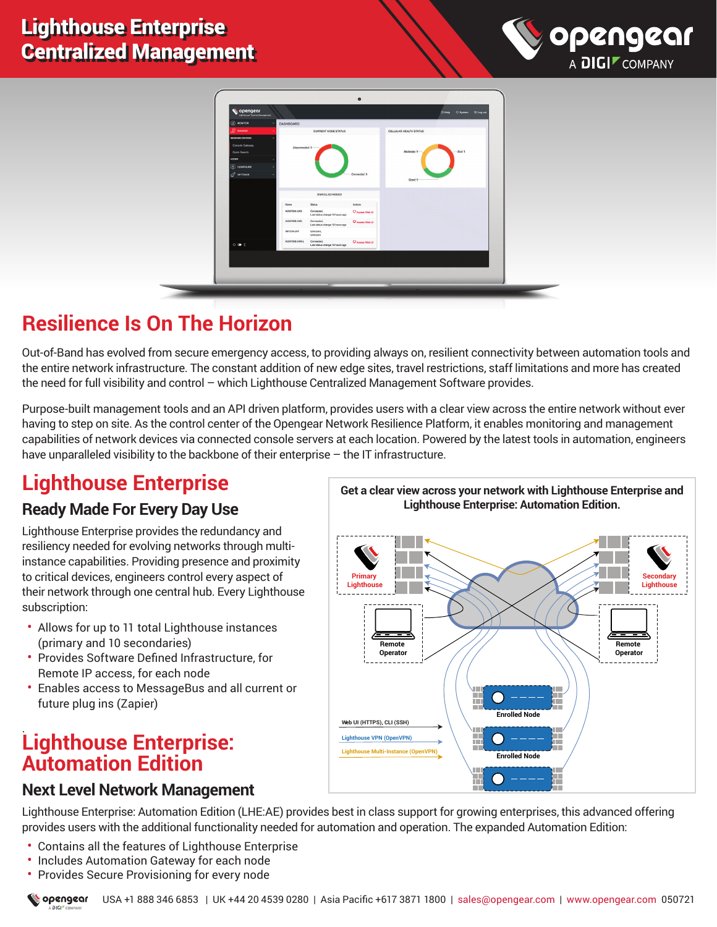



# **Resilience Is On The Horizon**

Out-of-Band has evolved from secure emergency access, to providing always on, resilient connectivity between automation tools and the entire network infrastructure. The constant addition of new edge sites, travel restrictions, staff limitations and more has created the need for full visibility and control – which Lighthouse Centralized Management Software provides.

Purpose-built management tools and an API driven platform, provides users with a clear view across the entire network without ever having to step on site. As the control center of the Opengear Network Resilience Platform, it enables monitoring and management capabilities of network devices via connected console servers at each location. Powered by the latest tools in automation, engineers have unparalleled visibility to the backbone of their enterprise - the IT infrastructure.

# **Lighthouse Enterprise**

#### **Ready Made For Every Day Use**

Lighthouse Enterprise provides the redundancy and resiliency needed for evolving networks through multiinstance capabilities. Providing presence and proximity to critical devices, engineers control every aspect of their network through one central hub. Every Lighthouse subscription:

- Allows for up to 11 total Lighthouse instances (primary and 10 secondaries)
- Provides Software Defined Infrastructure, for Remote IP access, for each node
- Enables access to MessageBus and all current or future plug ins (Zapier)

#### . **Lighthouse Enterprise: Automation Edition**

#### **Next Level Network Management**

Lighthouse Enterprise: Automation Edition (LHE:AE) provides best in class support for growing enterprises, this advanced offering provides users with the additional functionality needed for automation and operation. The expanded Automation Edition:

- Contains all the features of Lighthouse Enterprise
- Includes Automation Gateway for each node
- Provides Secure Provisioning for every node